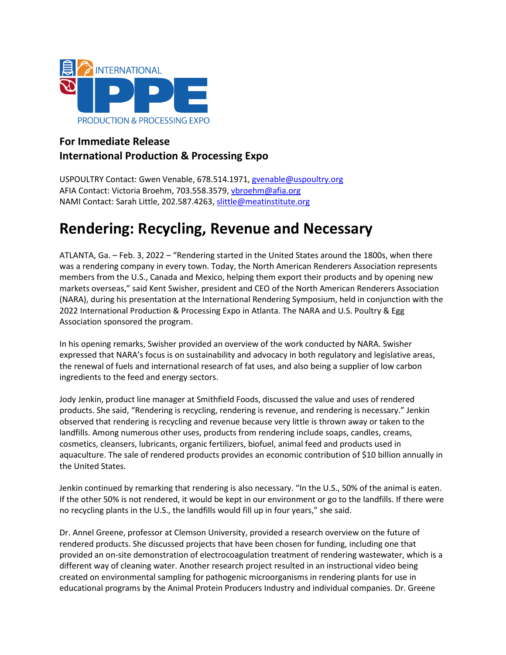

# **For Immediate Release International Production & Processing Expo**

USPOULTRY Contact: Gwen Venable, 678.514.1971, gvenable@uspoultry.org AFIA Contact: Victoria Broehm, 703.558.3579, vbroehm@afia.org NAMI Contact: Sarah Little, 202.587.4263, [slittle@meatinstitute.org](mailto:slittle@meatinstitute.org)

# **Rendering: Recycling, Revenue and Necessary**

ATLANTA, Ga. – Feb. 3, 2022 – "Rendering started in the United States around the 1800s, when there was a rendering company in every town. Today, the North American Renderers Association represents members from the U.S., Canada and Mexico, helping them export their products and by opening new markets overseas," said Kent Swisher, president and CEO of the North American Renderers Association (NARA), during his presentation at the International Rendering Symposium, held in conjunction with the 2022 International Production & Processing Expo in Atlanta. The NARA and U.S. Poultry & Egg Association sponsored the program.

In his opening remarks, Swisher provided an overview of the work conducted by NARA. Swisher expressed that NARA's focus is on sustainability and advocacy in both regulatory and legislative areas, the renewal of fuels and international research of fat uses, and also being a supplier of low carbon ingredients to the feed and energy sectors.

Jody Jenkin, product line manager at Smithfield Foods, discussed the value and uses of rendered products. She said, "Rendering is recycling, rendering is revenue, and rendering is necessary." Jenkin observed that rendering is recycling and revenue because very little is thrown away or taken to the landfills. Among numerous other uses, products from rendering include soaps, candles, creams, cosmetics, cleansers, lubricants, organic fertilizers, biofuel, animal feed and products used in aquaculture. The sale of rendered products provides an economic contribution of \$10 billion annually in the United States.

Jenkin continued by remarking that rendering is also necessary. "In the U.S., 50% of the animal is eaten. If the other 50% is not rendered, it would be kept in our environment or go to the landfills. If there were no recycling plants in the U.S., the landfills would fill up in four years," she said.

Dr. Annel Greene, professor at Clemson University, provided a research overview on the future of rendered products. She discussed projects that have been chosen for funding, including one that provided an on-site demonstration of electrocoagulation treatment of rendering wastewater, which is a different way of cleaning water. Another research project resulted in an instructional video being created on environmental sampling for pathogenic microorganisms in rendering plants for use in educational programs by the Animal Protein Producers Industry and individual companies. Dr. Greene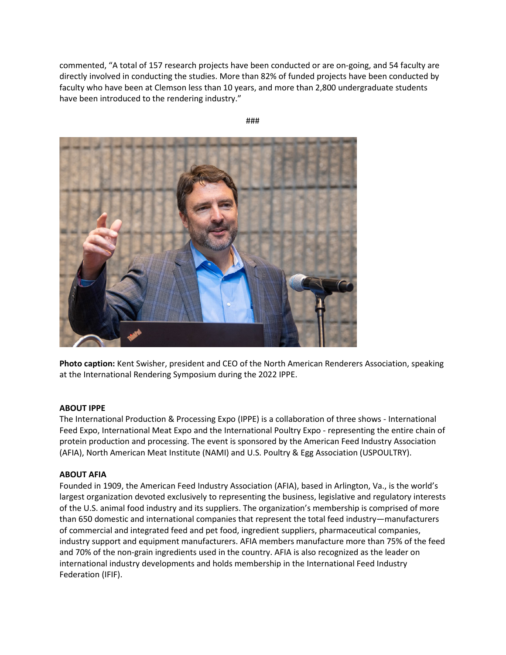commented, "A total of 157 research projects have been conducted or are on-going, and 54 faculty are directly involved in conducting the studies. More than 82% of funded projects have been conducted by faculty who have been at Clemson less than 10 years, and more than 2,800 undergraduate students have been introduced to the rendering industry."

###



**Photo caption:** Kent Swisher, president and CEO of the North American Renderers Association, speaking at the International Rendering Symposium during the 2022 IPPE.

### **ABOUT IPPE**

The International Production & Processing Expo (IPPE) is a collaboration of three shows - International Feed Expo, International Meat Expo and the International Poultry Expo - representing the entire chain of protein production and processing. The event is sponsored by the American Feed Industry Association (AFIA), North American Meat Institute (NAMI) and U.S. Poultry & Egg Association (USPOULTRY).

# **ABOUT AFIA**

Founded in 1909, the American Feed Industry Association (AFIA), based in Arlington, Va., is the world's largest organization devoted exclusively to representing the business, legislative and regulatory interests of the U.S. animal food industry and its suppliers. The organization's membership is comprised of more than 650 domestic and international companies that represent the total feed industry—manufacturers of commercial and integrated feed and pet food, ingredient suppliers, pharmaceutical companies, industry support and equipment manufacturers. AFIA members manufacture more than 75% of the feed and 70% of the non-grain ingredients used in the country. AFIA is also recognized as the leader on international industry developments and holds membership in the International Feed Industry Federation (IFIF).